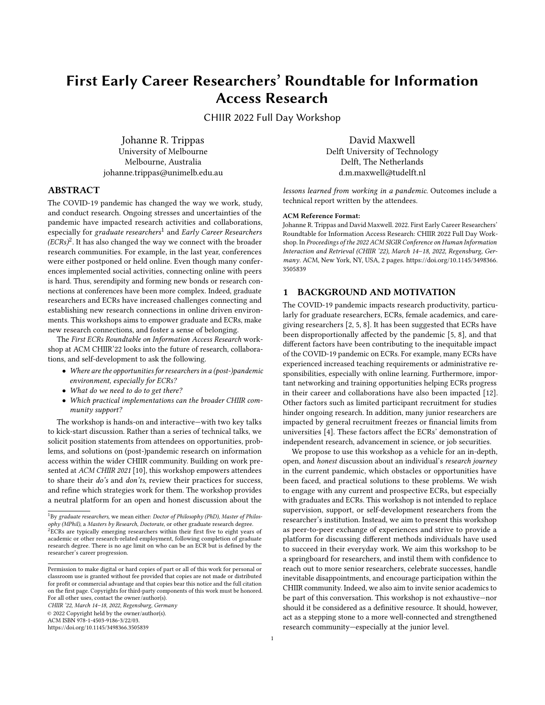# First Early Career Researchers' Roundtable for Information Access Research

CHIIR 2022 Full Day Workshop

Johanne R. Trippas University of Melbourne Melbourne, Australia johanne.trippas@unimelb.edu.au

David Maxwell Delft University of Technology Delft, The Netherlands d.m.maxwell@tudelft.nl

## ABSTRACT

The COVID-19 pandemic has changed the way we work, study, and conduct research. Ongoing stresses and uncertainties of the pandemic have impacted research activities and collaborations, especially for graduate researchers<sup>[1](#page-0-0)</sup> and Early Career Researchers  $(ECRs)^2$  $(ECRs)^2$ . It has also changed the way we connect with the broader research communities. For example, in the last year, conferences were either postponed or held online. Even though many conferences implemented social activities, connecting online with peers is hard. Thus, serendipity and forming new bonds or research connections at conferences have been more complex. Indeed, graduate researchers and ECRs have increased challenges connecting and establishing new research connections in online driven environments. This workshops aims to empower graduate and ECRs, make new research connections, and foster a sense of belonging.

The First ECRs Roundtable on Information Access Research workshop at ACM CHIIR'22 looks into the future of research, collaborations, and self-development to ask the following.

- Where are the opportunities for researchers in a (post-)pandemic environment, especially for ECRs?
- What do we need to do to get there?
- Which practical implementations can the broader CHIIR community support?

The workshop is hands-on and interactive—with two key talks to kick-start discussion. Rather than a series of technical talks, we solicit position statements from attendees on opportunities, problems, and solutions on (post-)pandemic research on information access within the wider CHIIR community. Building on work presented at ACM CHIIR 2021 [\[10\]](#page-1-0), this workshop empowers attendees to share their do's and don'ts, review their practices for success, and refine which strategies work for them. The workshop provides a neutral platform for an open and honest discussion about the

CHIIR '22, March 14–18, 2022, Regensburg, Germany

© 2022 Copyright held by the owner/author(s).

ACM ISBN 978-1-4503-9186-3/22/03.

<https://doi.org/10.1145/3498366.3505839>

#### ACM Reference Format:

technical report written by the attendees.

Johanne R. Trippas and David Maxwell. 2022. First Early Career Researchers' Roundtable for Information Access Research: CHIIR 2022 Full Day Workshop. In Proceedings of the 2022 ACM SIGIR Conference on Human Information Interaction and Retrieval (CHIIR '22), March 14–18, 2022, Regensburg, Germany. ACM, New York, NY, USA, [2](#page-1-1) pages. [https://doi.org/10.1145/3498366.](https://doi.org/10.1145/3498366.3505839) [3505839](https://doi.org/10.1145/3498366.3505839)

lessons learned from working in a pandemic. Outcomes include a

#### 1 BACKGROUND AND MOTIVATION

The COVID-19 pandemic impacts research productivity, particularly for graduate researchers, ECRs, female academics, and caregiving researchers [\[2,](#page-1-2) [5,](#page-1-3) [8\]](#page-1-4). It has been suggested that ECRs have been disproportionally affected by the pandemic [\[5,](#page-1-3) [8\]](#page-1-4), and that different factors have been contributing to the inequitable impact of the COVID-19 pandemic on ECRs. For example, many ECRs have experienced increased teaching requirements or administrative responsibilities, especially with online learning. Furthermore, important networking and training opportunities helping ECRs progress in their career and collaborations have also been impacted [\[12\]](#page-1-5). Other factors such as limited participant recruitment for studies hinder ongoing research. In addition, many junior researchers are impacted by general recruitment freezes or financial limits from universities [\[4\]](#page-1-6). These factors affect the ECRs' demonstration of independent research, advancement in science, or job securities.

We propose to use this workshop as a vehicle for an in-depth, open, and honest discussion about an individual's research journey in the current pandemic, which obstacles or opportunities have been faced, and practical solutions to these problems. We wish to engage with any current and prospective ECRs, but especially with graduates and ECRs. This workshop is not intended to replace supervision, support, or self-development researchers from the researcher's institution. Instead, we aim to present this workshop as peer-to-peer exchange of experiences and strive to provide a platform for discussing different methods individuals have used to succeed in their everyday work. We aim this workshop to be a springboard for researchers, and instil them with confidence to reach out to more senior researchers, celebrate successes, handle inevitable disappointments, and encourage participation within the CHIIR community. Indeed, we also aim to invite senior academics to be part of this conversation. This workshop is not exhaustive—nor should it be considered as a definitive resource. It should, however, act as a stepping stone to a more well-connected and strengthened research community—especially at the junior level.

<span id="page-0-1"></span><span id="page-0-0"></span> $1By$  graduate researchers, we mean either: Doctor of Philosophy (PhD), Master of Philosophy (MPhil), a Masters by Research, Doctorate, or other graduate research degree. <sup>2</sup>ECRs are typically emerging researchers within their first five to eight years of academic or other research-related employment, following completion of graduate research degree. There is no age limit on who can be an ECR but is defined by the researcher's career progression.

Permission to make digital or hard copies of part or all of this work for personal or classroom use is granted without fee provided that copies are not made or distributed for profit or commercial advantage and that copies bear this notice and the full citation on the first page. Copyrights for third-party components of this work must be honored. For all other uses, contact the owner/author(s).